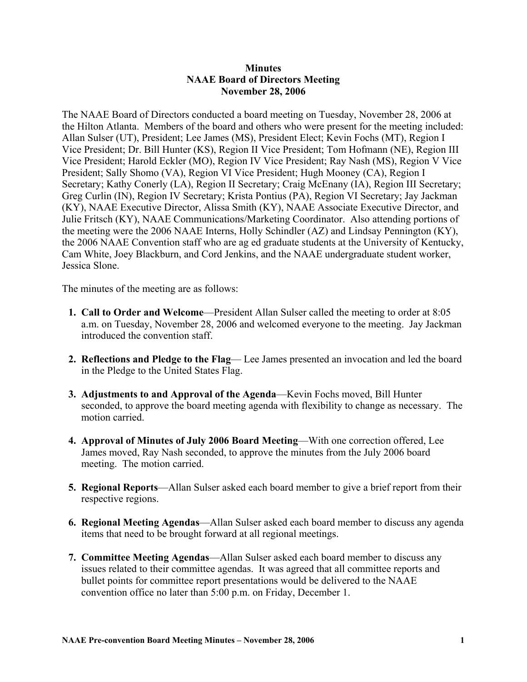## **Minutes NAAE Board of Directors Meeting November 28, 2006**

The NAAE Board of Directors conducted a board meeting on Tuesday, November 28, 2006 at the Hilton Atlanta. Members of the board and others who were present for the meeting included: Allan Sulser (UT), President; Lee James (MS), President Elect; Kevin Fochs (MT), Region I Vice President; Dr. Bill Hunter (KS), Region II Vice President; Tom Hofmann (NE), Region III Vice President; Harold Eckler (MO), Region IV Vice President; Ray Nash (MS), Region V Vice President; Sally Shomo (VA), Region VI Vice President; Hugh Mooney (CA), Region I Secretary; Kathy Conerly (LA), Region II Secretary; Craig McEnany (IA), Region III Secretary; Greg Curlin (IN), Region IV Secretary; Krista Pontius (PA), Region VI Secretary; Jay Jackman (KY), NAAE Executive Director, Alissa Smith (KY), NAAE Associate Executive Director, and Julie Fritsch (KY), NAAE Communications/Marketing Coordinator. Also attending portions of the meeting were the 2006 NAAE Interns, Holly Schindler (AZ) and Lindsay Pennington (KY), the 2006 NAAE Convention staff who are ag ed graduate students at the University of Kentucky, Cam White, Joey Blackburn, and Cord Jenkins, and the NAAE undergraduate student worker, Jessica Slone.

The minutes of the meeting are as follows:

- **1. Call to Order and Welcome**—President Allan Sulser called the meeting to order at 8:05 a.m. on Tuesday, November 28, 2006 and welcomed everyone to the meeting. Jay Jackman introduced the convention staff.
- **2. Reflections and Pledge to the Flag** Lee James presented an invocation and led the board in the Pledge to the United States Flag.
- **3. Adjustments to and Approval of the Agenda**—Kevin Fochs moved, Bill Hunter seconded, to approve the board meeting agenda with flexibility to change as necessary. The motion carried.
- **4. Approval of Minutes of July 2006 Board Meeting**—With one correction offered, Lee James moved, Ray Nash seconded, to approve the minutes from the July 2006 board meeting. The motion carried.
- **5. Regional Reports**—Allan Sulser asked each board member to give a brief report from their respective regions.
- **6. Regional Meeting Agendas**—Allan Sulser asked each board member to discuss any agenda items that need to be brought forward at all regional meetings.
- **7. Committee Meeting Agendas**—Allan Sulser asked each board member to discuss any issues related to their committee agendas. It was agreed that all committee reports and bullet points for committee report presentations would be delivered to the NAAE convention office no later than 5:00 p.m. on Friday, December 1.